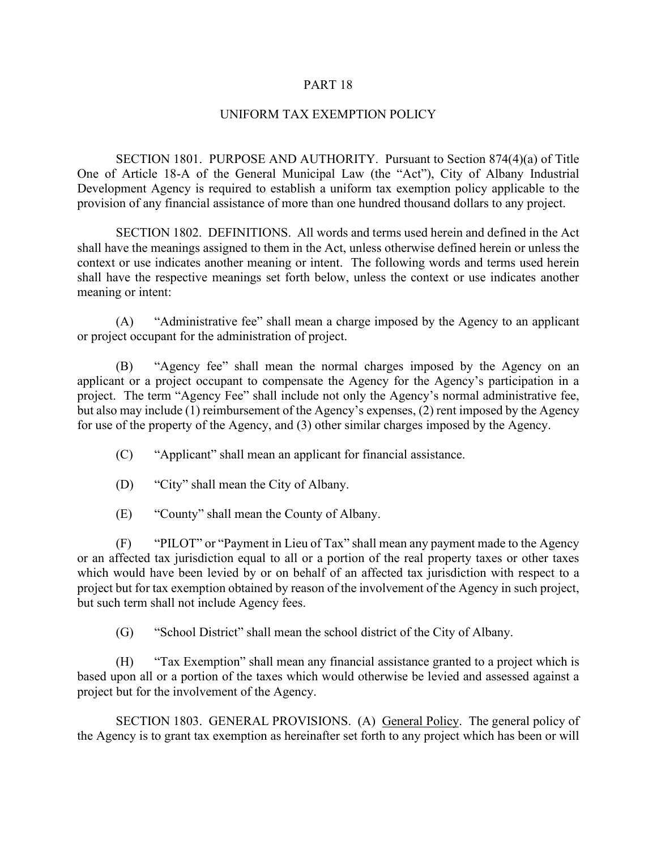## PART 18

## UNIFORM TAX EXEMPTION POLICY

SECTION 1801. PURPOSE AND AUTHORITY. Pursuant to Section 874(4)(a) of Title One of Article 18-A of the General Municipal Law (the "Act"), City of Albany Industrial Development Agency is required to establish a uniform tax exemption policy applicable to the provision of any financial assistance of more than one hundred thousand dollars to any project.

SECTION 1802. DEFINITIONS. All words and terms used herein and defined in the Act shall have the meanings assigned to them in the Act, unless otherwise defined herein or unless the context or use indicates another meaning or intent. The following words and terms used herein shall have the respective meanings set forth below, unless the context or use indicates another meaning or intent:

(A) "Administrative fee" shall mean a charge imposed by the Agency to an applicant or project occupant for the administration of project.

(B) "Agency fee" shall mean the normal charges imposed by the Agency on an applicant or a project occupant to compensate the Agency for the Agency's participation in a project. The term "Agency Fee" shall include not only the Agency's normal administrative fee, but also may include (1) reimbursement of the Agency's expenses, (2) rent imposed by the Agency for use of the property of the Agency, and (3) other similar charges imposed by the Agency.

- (C) "Applicant" shall mean an applicant for financial assistance.
- (D) "City" shall mean the City of Albany.
- (E) "County" shall mean the County of Albany.

(F) "PILOT" or "Payment in Lieu of Tax" shall mean any payment made to the Agency or an affected tax jurisdiction equal to all or a portion of the real property taxes or other taxes which would have been levied by or on behalf of an affected tax jurisdiction with respect to a project but for tax exemption obtained by reason of the involvement of the Agency in such project, but such term shall not include Agency fees.

(G) "School District" shall mean the school district of the City of Albany.

(H) "Tax Exemption" shall mean any financial assistance granted to a project which is based upon all or a portion of the taxes which would otherwise be levied and assessed against a project but for the involvement of the Agency.

SECTION 1803. GENERAL PROVISIONS. (A) General Policy. The general policy of the Agency is to grant tax exemption as hereinafter set forth to any project which has been or will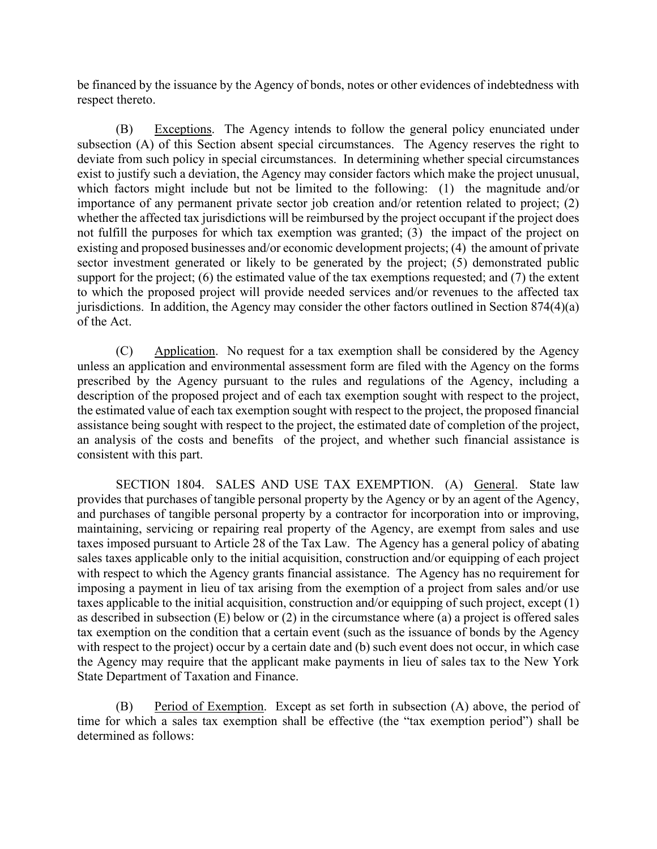be financed by the issuance by the Agency of bonds, notes or other evidences of indebtedness with respect thereto.

(B) Exceptions. The Agency intends to follow the general policy enunciated under subsection (A) of this Section absent special circumstances. The Agency reserves the right to deviate from such policy in special circumstances. In determining whether special circumstances exist to justify such a deviation, the Agency may consider factors which make the project unusual, which factors might include but not be limited to the following: (1) the magnitude and/or importance of any permanent private sector job creation and/or retention related to project; (2) whether the affected tax jurisdictions will be reimbursed by the project occupant if the project does not fulfill the purposes for which tax exemption was granted; (3) the impact of the project on existing and proposed businesses and/or economic development projects; (4) the amount of private sector investment generated or likely to be generated by the project; (5) demonstrated public support for the project; (6) the estimated value of the tax exemptions requested; and (7) the extent to which the proposed project will provide needed services and/or revenues to the affected tax jurisdictions. In addition, the Agency may consider the other factors outlined in Section 874(4)(a) of the Act.

(C) Application. No request for a tax exemption shall be considered by the Agency unless an application and environmental assessment form are filed with the Agency on the forms prescribed by the Agency pursuant to the rules and regulations of the Agency, including a description of the proposed project and of each tax exemption sought with respect to the project, the estimated value of each tax exemption sought with respect to the project, the proposed financial assistance being sought with respect to the project, the estimated date of completion of the project, an analysis of the costs and benefits of the project, and whether such financial assistance is consistent with this part.

SECTION 1804. SALES AND USE TAX EXEMPTION. (A) General. State law provides that purchases of tangible personal property by the Agency or by an agent of the Agency, and purchases of tangible personal property by a contractor for incorporation into or improving, maintaining, servicing or repairing real property of the Agency, are exempt from sales and use taxes imposed pursuant to Article 28 of the Tax Law. The Agency has a general policy of abating sales taxes applicable only to the initial acquisition, construction and/or equipping of each project with respect to which the Agency grants financial assistance. The Agency has no requirement for imposing a payment in lieu of tax arising from the exemption of a project from sales and/or use taxes applicable to the initial acquisition, construction and/or equipping of such project, except (1) as described in subsection (E) below or (2) in the circumstance where (a) a project is offered sales tax exemption on the condition that a certain event (such as the issuance of bonds by the Agency with respect to the project) occur by a certain date and (b) such event does not occur, in which case the Agency may require that the applicant make payments in lieu of sales tax to the New York State Department of Taxation and Finance.

(B) Period of Exemption. Except as set forth in subsection (A) above, the period of time for which a sales tax exemption shall be effective (the "tax exemption period") shall be determined as follows: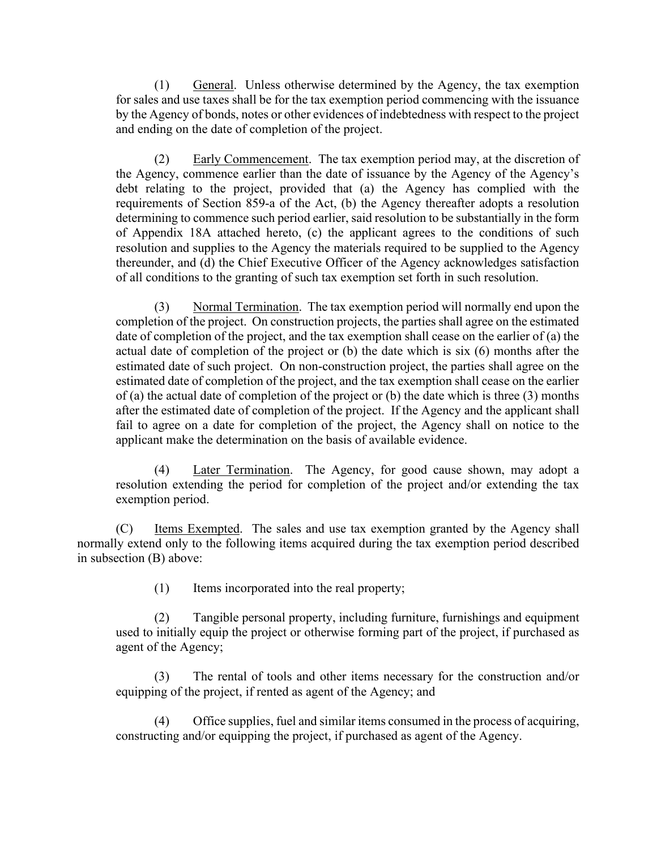(1) General. Unless otherwise determined by the Agency, the tax exemption for sales and use taxes shall be for the tax exemption period commencing with the issuance by the Agency of bonds, notes or other evidences of indebtedness with respect to the project and ending on the date of completion of the project.

(2) Early Commencement. The tax exemption period may, at the discretion of the Agency, commence earlier than the date of issuance by the Agency of the Agency's debt relating to the project, provided that (a) the Agency has complied with the requirements of Section 859-a of the Act, (b) the Agency thereafter adopts a resolution determining to commence such period earlier, said resolution to be substantially in the form of Appendix 18A attached hereto, (c) the applicant agrees to the conditions of such resolution and supplies to the Agency the materials required to be supplied to the Agency thereunder, and (d) the Chief Executive Officer of the Agency acknowledges satisfaction of all conditions to the granting of such tax exemption set forth in such resolution.

(3) Normal Termination. The tax exemption period will normally end upon the completion of the project. On construction projects, the parties shall agree on the estimated date of completion of the project, and the tax exemption shall cease on the earlier of (a) the actual date of completion of the project or (b) the date which is six (6) months after the estimated date of such project. On non-construction project, the parties shall agree on the estimated date of completion of the project, and the tax exemption shall cease on the earlier of (a) the actual date of completion of the project or (b) the date which is three (3) months after the estimated date of completion of the project. If the Agency and the applicant shall fail to agree on a date for completion of the project, the Agency shall on notice to the applicant make the determination on the basis of available evidence.

(4) Later Termination. The Agency, for good cause shown, may adopt a resolution extending the period for completion of the project and/or extending the tax exemption period.

(C) Items Exempted. The sales and use tax exemption granted by the Agency shall normally extend only to the following items acquired during the tax exemption period described in subsection (B) above:

(1) Items incorporated into the real property;

(2) Tangible personal property, including furniture, furnishings and equipment used to initially equip the project or otherwise forming part of the project, if purchased as agent of the Agency;

(3) The rental of tools and other items necessary for the construction and/or equipping of the project, if rented as agent of the Agency; and

(4) Office supplies, fuel and similar items consumed in the process of acquiring, constructing and/or equipping the project, if purchased as agent of the Agency.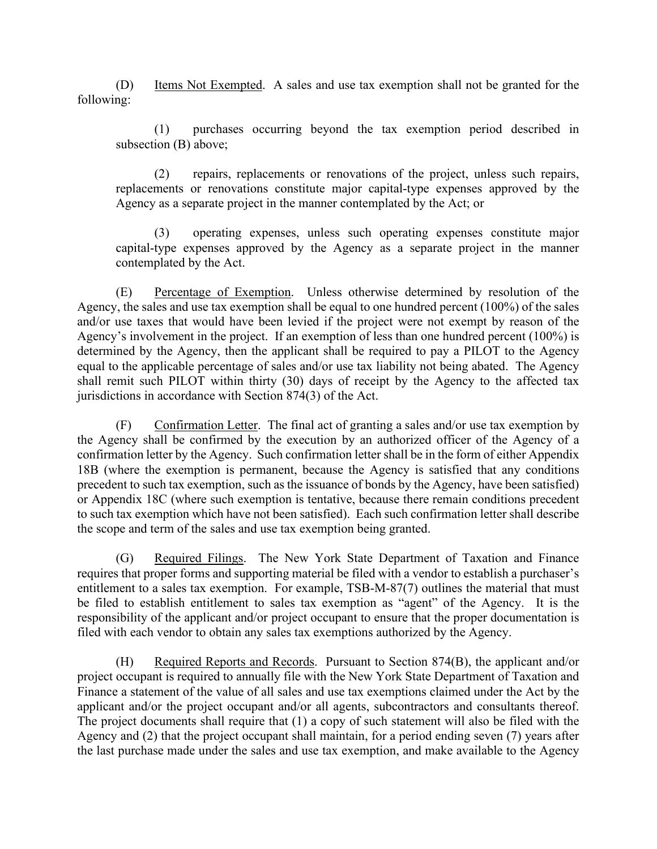(D) Items Not Exempted. A sales and use tax exemption shall not be granted for the following:

(1) purchases occurring beyond the tax exemption period described in subsection (B) above;

(2) repairs, replacements or renovations of the project, unless such repairs, replacements or renovations constitute major capital-type expenses approved by the Agency as a separate project in the manner contemplated by the Act; or

(3) operating expenses, unless such operating expenses constitute major capital-type expenses approved by the Agency as a separate project in the manner contemplated by the Act.

(E) Percentage of Exemption. Unless otherwise determined by resolution of the Agency, the sales and use tax exemption shall be equal to one hundred percent (100%) of the sales and/or use taxes that would have been levied if the project were not exempt by reason of the Agency's involvement in the project. If an exemption of less than one hundred percent (100%) is determined by the Agency, then the applicant shall be required to pay a PILOT to the Agency equal to the applicable percentage of sales and/or use tax liability not being abated. The Agency shall remit such PILOT within thirty (30) days of receipt by the Agency to the affected tax jurisdictions in accordance with Section 874(3) of the Act.

(F) Confirmation Letter. The final act of granting a sales and/or use tax exemption by the Agency shall be confirmed by the execution by an authorized officer of the Agency of a confirmation letter by the Agency. Such confirmation letter shall be in the form of either Appendix 18B (where the exemption is permanent, because the Agency is satisfied that any conditions precedent to such tax exemption, such as the issuance of bonds by the Agency, have been satisfied) or Appendix 18C (where such exemption is tentative, because there remain conditions precedent to such tax exemption which have not been satisfied). Each such confirmation letter shall describe the scope and term of the sales and use tax exemption being granted.

(G) Required Filings. The New York State Department of Taxation and Finance requires that proper forms and supporting material be filed with a vendor to establish a purchaser's entitlement to a sales tax exemption. For example, TSB-M-87(7) outlines the material that must be filed to establish entitlement to sales tax exemption as "agent" of the Agency. It is the responsibility of the applicant and/or project occupant to ensure that the proper documentation is filed with each vendor to obtain any sales tax exemptions authorized by the Agency.

(H) Required Reports and Records. Pursuant to Section 874(B), the applicant and/or project occupant is required to annually file with the New York State Department of Taxation and Finance a statement of the value of all sales and use tax exemptions claimed under the Act by the applicant and/or the project occupant and/or all agents, subcontractors and consultants thereof. The project documents shall require that (1) a copy of such statement will also be filed with the Agency and (2) that the project occupant shall maintain, for a period ending seven (7) years after the last purchase made under the sales and use tax exemption, and make available to the Agency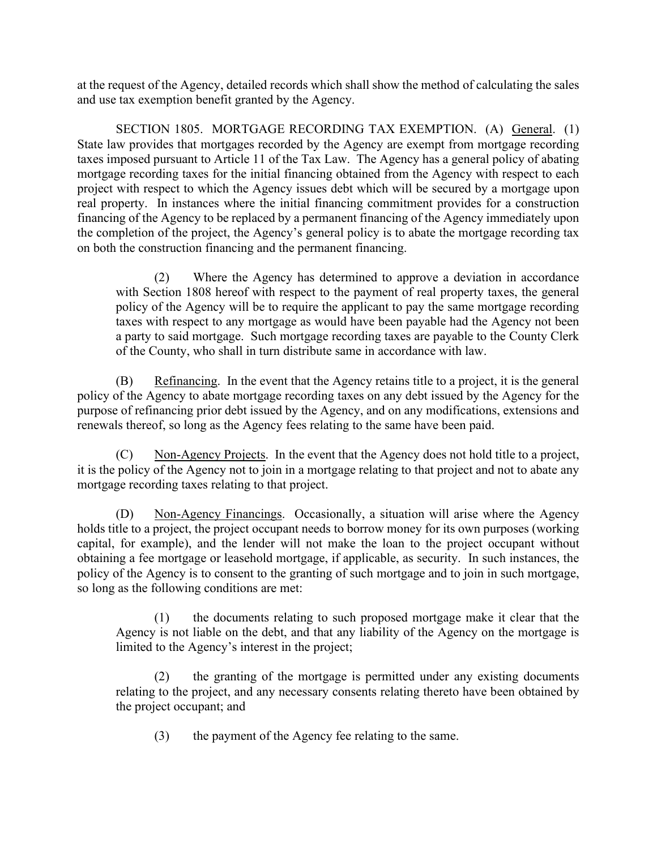at the request of the Agency, detailed records which shall show the method of calculating the sales and use tax exemption benefit granted by the Agency.

SECTION 1805. MORTGAGE RECORDING TAX EXEMPTION. (A) General. (1) State law provides that mortgages recorded by the Agency are exempt from mortgage recording taxes imposed pursuant to Article 11 of the Tax Law. The Agency has a general policy of abating mortgage recording taxes for the initial financing obtained from the Agency with respect to each project with respect to which the Agency issues debt which will be secured by a mortgage upon real property. In instances where the initial financing commitment provides for a construction financing of the Agency to be replaced by a permanent financing of the Agency immediately upon the completion of the project, the Agency's general policy is to abate the mortgage recording tax on both the construction financing and the permanent financing.

(2) Where the Agency has determined to approve a deviation in accordance with Section 1808 hereof with respect to the payment of real property taxes, the general policy of the Agency will be to require the applicant to pay the same mortgage recording taxes with respect to any mortgage as would have been payable had the Agency not been a party to said mortgage. Such mortgage recording taxes are payable to the County Clerk of the County, who shall in turn distribute same in accordance with law.

(B) Refinancing. In the event that the Agency retains title to a project, it is the general policy of the Agency to abate mortgage recording taxes on any debt issued by the Agency for the purpose of refinancing prior debt issued by the Agency, and on any modifications, extensions and renewals thereof, so long as the Agency fees relating to the same have been paid.

(C) Non-Agency Projects. In the event that the Agency does not hold title to a project, it is the policy of the Agency not to join in a mortgage relating to that project and not to abate any mortgage recording taxes relating to that project.

(D) Non-Agency Financings. Occasionally, a situation will arise where the Agency holds title to a project, the project occupant needs to borrow money for its own purposes (working capital, for example), and the lender will not make the loan to the project occupant without obtaining a fee mortgage or leasehold mortgage, if applicable, as security. In such instances, the policy of the Agency is to consent to the granting of such mortgage and to join in such mortgage, so long as the following conditions are met:

(1) the documents relating to such proposed mortgage make it clear that the Agency is not liable on the debt, and that any liability of the Agency on the mortgage is limited to the Agency's interest in the project;

(2) the granting of the mortgage is permitted under any existing documents relating to the project, and any necessary consents relating thereto have been obtained by the project occupant; and

(3) the payment of the Agency fee relating to the same.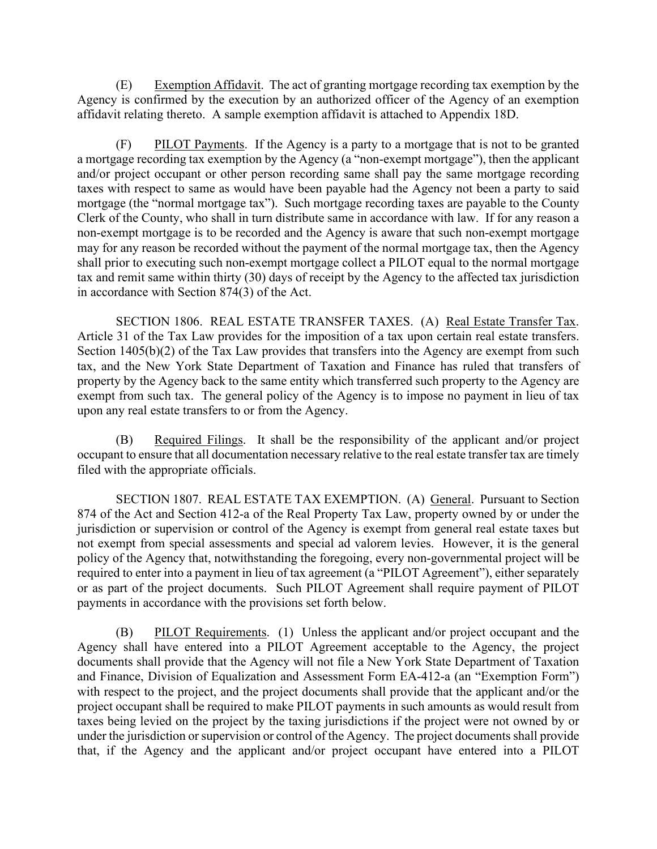(E) Exemption Affidavit. The act of granting mortgage recording tax exemption by the Agency is confirmed by the execution by an authorized officer of the Agency of an exemption affidavit relating thereto. A sample exemption affidavit is attached to Appendix 18D.

(F) PILOT Payments. If the Agency is a party to a mortgage that is not to be granted a mortgage recording tax exemption by the Agency (a "non-exempt mortgage"), then the applicant and/or project occupant or other person recording same shall pay the same mortgage recording taxes with respect to same as would have been payable had the Agency not been a party to said mortgage (the "normal mortgage tax"). Such mortgage recording taxes are payable to the County Clerk of the County, who shall in turn distribute same in accordance with law. If for any reason a non-exempt mortgage is to be recorded and the Agency is aware that such non-exempt mortgage may for any reason be recorded without the payment of the normal mortgage tax, then the Agency shall prior to executing such non-exempt mortgage collect a PILOT equal to the normal mortgage tax and remit same within thirty (30) days of receipt by the Agency to the affected tax jurisdiction in accordance with Section 874(3) of the Act.

SECTION 1806. REAL ESTATE TRANSFER TAXES. (A) Real Estate Transfer Tax. Article 31 of the Tax Law provides for the imposition of a tax upon certain real estate transfers. Section 1405(b)(2) of the Tax Law provides that transfers into the Agency are exempt from such tax, and the New York State Department of Taxation and Finance has ruled that transfers of property by the Agency back to the same entity which transferred such property to the Agency are exempt from such tax. The general policy of the Agency is to impose no payment in lieu of tax upon any real estate transfers to or from the Agency.

(B) Required Filings. It shall be the responsibility of the applicant and/or project occupant to ensure that all documentation necessary relative to the real estate transfer tax are timely filed with the appropriate officials.

SECTION 1807. REAL ESTATE TAX EXEMPTION. (A) General. Pursuant to Section 874 of the Act and Section 412-a of the Real Property Tax Law, property owned by or under the jurisdiction or supervision or control of the Agency is exempt from general real estate taxes but not exempt from special assessments and special ad valorem levies. However, it is the general policy of the Agency that, notwithstanding the foregoing, every non-governmental project will be required to enter into a payment in lieu of tax agreement (a "PILOT Agreement"), either separately or as part of the project documents. Such PILOT Agreement shall require payment of PILOT payments in accordance with the provisions set forth below.

(B) PILOT Requirements. (1) Unless the applicant and/or project occupant and the Agency shall have entered into a PILOT Agreement acceptable to the Agency, the project documents shall provide that the Agency will not file a New York State Department of Taxation and Finance, Division of Equalization and Assessment Form EA-412-a (an "Exemption Form") with respect to the project, and the project documents shall provide that the applicant and/or the project occupant shall be required to make PILOT payments in such amounts as would result from taxes being levied on the project by the taxing jurisdictions if the project were not owned by or under the jurisdiction or supervision or control of the Agency. The project documents shall provide that, if the Agency and the applicant and/or project occupant have entered into a PILOT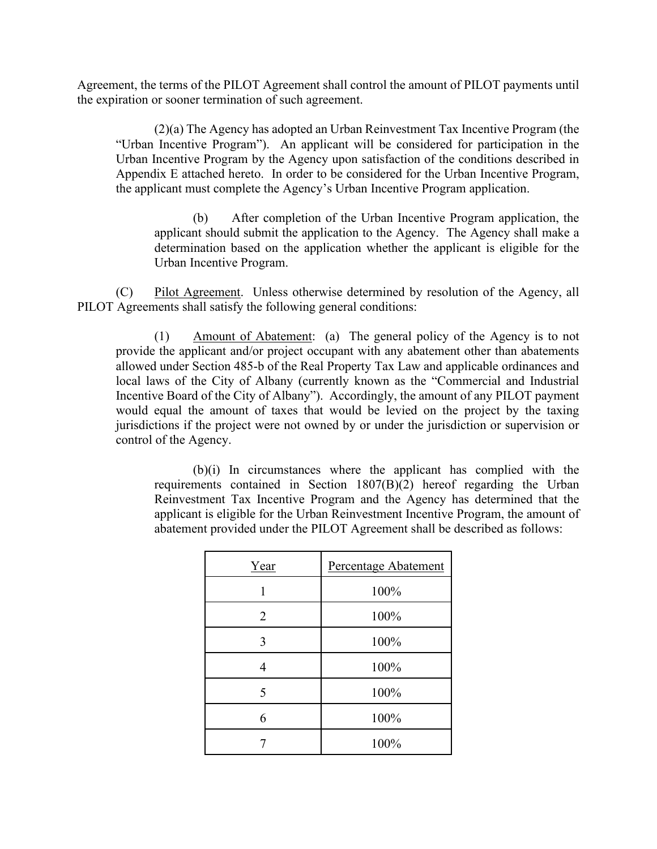Agreement, the terms of the PILOT Agreement shall control the amount of PILOT payments until the expiration or sooner termination of such agreement.

(2)(a) The Agency has adopted an Urban Reinvestment Tax Incentive Program (the "Urban Incentive Program"). An applicant will be considered for participation in the Urban Incentive Program by the Agency upon satisfaction of the conditions described in Appendix E attached hereto. In order to be considered for the Urban Incentive Program, the applicant must complete the Agency's Urban Incentive Program application.

(b) After completion of the Urban Incentive Program application, the applicant should submit the application to the Agency. The Agency shall make a determination based on the application whether the applicant is eligible for the Urban Incentive Program.

(C) Pilot Agreement. Unless otherwise determined by resolution of the Agency, all PILOT Agreements shall satisfy the following general conditions:

(1) Amount of Abatement: (a) The general policy of the Agency is to not provide the applicant and/or project occupant with any abatement other than abatements allowed under Section 485-b of the Real Property Tax Law and applicable ordinances and local laws of the City of Albany (currently known as the "Commercial and Industrial Incentive Board of the City of Albany"). Accordingly, the amount of any PILOT payment would equal the amount of taxes that would be levied on the project by the taxing jurisdictions if the project were not owned by or under the jurisdiction or supervision or control of the Agency.

(b)(i) In circumstances where the applicant has complied with the requirements contained in Section  $1807(B)(2)$  hereof regarding the Urban Reinvestment Tax Incentive Program and the Agency has determined that the applicant is eligible for the Urban Reinvestment Incentive Program, the amount of abatement provided under the PILOT Agreement shall be described as follows:

| Year           | Percentage Abatement |
|----------------|----------------------|
|                | 100%                 |
| $\overline{2}$ | 100%                 |
| 3              | 100%                 |
| 4              | 100%                 |
| 5              | 100%                 |
| 6              | 100%                 |
|                | 100%                 |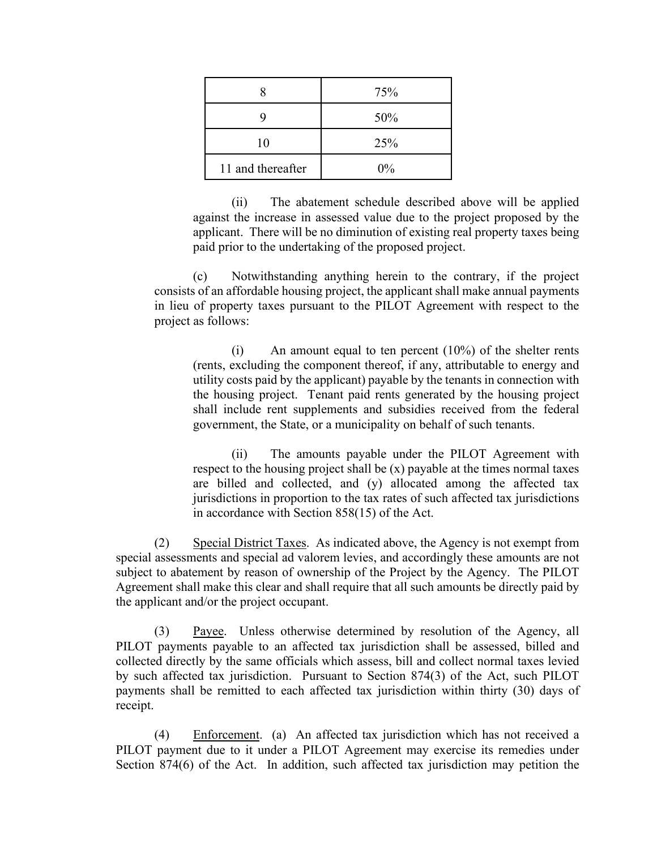|                   | 75%   |
|-------------------|-------|
| ч                 | 50%   |
| 10                | 25%   |
| 11 and thereafter | $0\%$ |

(ii) The abatement schedule described above will be applied against the increase in assessed value due to the project proposed by the applicant. There will be no diminution of existing real property taxes being paid prior to the undertaking of the proposed project.

(c) Notwithstanding anything herein to the contrary, if the project consists of an affordable housing project, the applicant shall make annual payments in lieu of property taxes pursuant to the PILOT Agreement with respect to the project as follows:

(i) An amount equal to ten percent (10%) of the shelter rents (rents, excluding the component thereof, if any, attributable to energy and utility costs paid by the applicant) payable by the tenants in connection with the housing project. Tenant paid rents generated by the housing project shall include rent supplements and subsidies received from the federal government, the State, or a municipality on behalf of such tenants.

(ii) The amounts payable under the PILOT Agreement with respect to the housing project shall be  $(x)$  payable at the times normal taxes are billed and collected, and (y) allocated among the affected tax jurisdictions in proportion to the tax rates of such affected tax jurisdictions in accordance with Section 858(15) of the Act.

(2) Special District Taxes. As indicated above, the Agency is not exempt from special assessments and special ad valorem levies, and accordingly these amounts are not subject to abatement by reason of ownership of the Project by the Agency. The PILOT Agreement shall make this clear and shall require that all such amounts be directly paid by the applicant and/or the project occupant.

(3) Payee. Unless otherwise determined by resolution of the Agency, all PILOT payments payable to an affected tax jurisdiction shall be assessed, billed and collected directly by the same officials which assess, bill and collect normal taxes levied by such affected tax jurisdiction. Pursuant to Section 874(3) of the Act, such PILOT payments shall be remitted to each affected tax jurisdiction within thirty (30) days of receipt.

(4) Enforcement. (a) An affected tax jurisdiction which has not received a PILOT payment due to it under a PILOT Agreement may exercise its remedies under Section 874(6) of the Act. In addition, such affected tax jurisdiction may petition the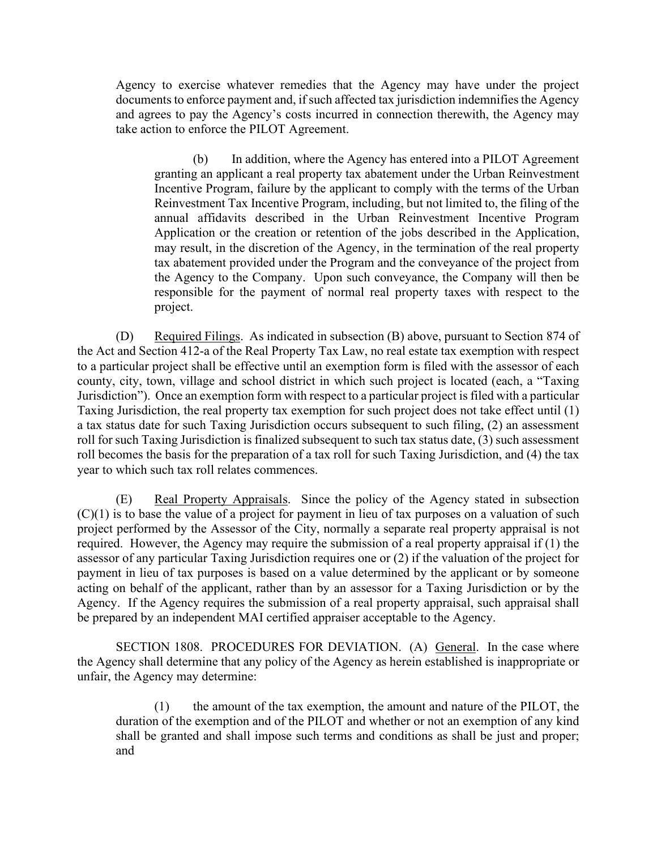Agency to exercise whatever remedies that the Agency may have under the project documents to enforce payment and, if such affected tax jurisdiction indemnifies the Agency and agrees to pay the Agency's costs incurred in connection therewith, the Agency may take action to enforce the PILOT Agreement.

(b) In addition, where the Agency has entered into a PILOT Agreement granting an applicant a real property tax abatement under the Urban Reinvestment Incentive Program, failure by the applicant to comply with the terms of the Urban Reinvestment Tax Incentive Program, including, but not limited to, the filing of the annual affidavits described in the Urban Reinvestment Incentive Program Application or the creation or retention of the jobs described in the Application, may result, in the discretion of the Agency, in the termination of the real property tax abatement provided under the Program and the conveyance of the project from the Agency to the Company. Upon such conveyance, the Company will then be responsible for the payment of normal real property taxes with respect to the project.

(D) Required Filings. As indicated in subsection (B) above, pursuant to Section 874 of the Act and Section 412-a of the Real Property Tax Law, no real estate tax exemption with respect to a particular project shall be effective until an exemption form is filed with the assessor of each county, city, town, village and school district in which such project is located (each, a "Taxing Jurisdiction"). Once an exemption form with respect to a particular project is filed with a particular Taxing Jurisdiction, the real property tax exemption for such project does not take effect until (1) a tax status date for such Taxing Jurisdiction occurs subsequent to such filing, (2) an assessment roll for such Taxing Jurisdiction is finalized subsequent to such tax status date, (3) such assessment roll becomes the basis for the preparation of a tax roll for such Taxing Jurisdiction, and (4) the tax year to which such tax roll relates commences.

(E) Real Property Appraisals. Since the policy of the Agency stated in subsection  $(C)(1)$  is to base the value of a project for payment in lieu of tax purposes on a valuation of such project performed by the Assessor of the City, normally a separate real property appraisal is not required. However, the Agency may require the submission of a real property appraisal if (1) the assessor of any particular Taxing Jurisdiction requires one or (2) if the valuation of the project for payment in lieu of tax purposes is based on a value determined by the applicant or by someone acting on behalf of the applicant, rather than by an assessor for a Taxing Jurisdiction or by the Agency. If the Agency requires the submission of a real property appraisal, such appraisal shall be prepared by an independent MAI certified appraiser acceptable to the Agency.

SECTION 1808. PROCEDURES FOR DEVIATION. (A) General. In the case where the Agency shall determine that any policy of the Agency as herein established is inappropriate or unfair, the Agency may determine:

(1) the amount of the tax exemption, the amount and nature of the PILOT, the duration of the exemption and of the PILOT and whether or not an exemption of any kind shall be granted and shall impose such terms and conditions as shall be just and proper; and